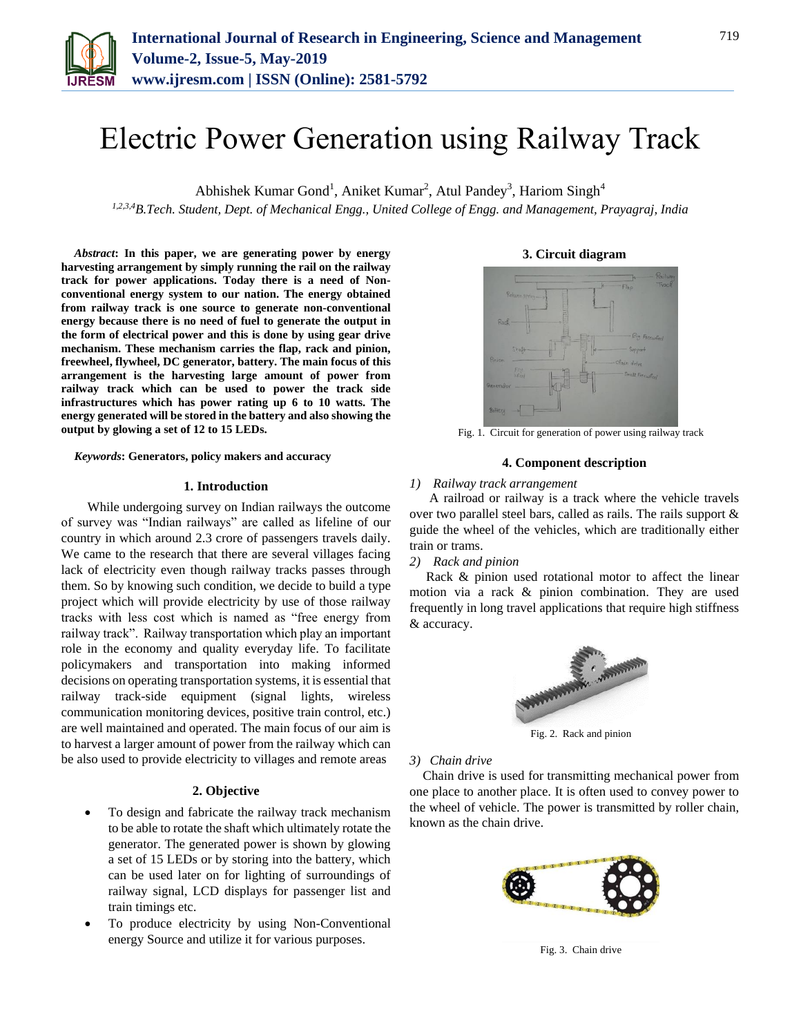

# Electric Power Generation using Railway Track

Abhishek Kumar Gond<sup>1</sup>, Aniket Kumar<sup>2</sup>, Atul Pandey<sup>3</sup>, Hariom Singh<sup>4</sup>

*1,2,3,4B.Tech. Student, Dept. of Mechanical Engg., United College of Engg. and Management, Prayagraj, India*

*Abstract***: In this paper, we are generating power by energy harvesting arrangement by simply running the rail on the railway track for power applications. Today there is a need of Nonconventional energy system to our nation. The energy obtained from railway track is one source to generate non-conventional energy because there is no need of fuel to generate the output in the form of electrical power and this is done by using gear drive mechanism. These mechanism carries the flap, rack and pinion, freewheel, flywheel, DC generator, battery. The main focus of this arrangement is the harvesting large amount of power from railway track which can be used to power the track side infrastructures which has power rating up 6 to 10 watts. The energy generated will be stored in the battery and also showing the output by glowing a set of 12 to 15 LEDs.**

#### *Keywords***: Generators, policy makers and accuracy**

#### **1. Introduction**

 While undergoing survey on Indian railways the outcome of survey was "Indian railways" are called as lifeline of our country in which around 2.3 crore of passengers travels daily. We came to the research that there are several villages facing lack of electricity even though railway tracks passes through them. So by knowing such condition, we decide to build a type project which will provide electricity by use of those railway tracks with less cost which is named as "free energy from railway track". Railway transportation which play an important role in the economy and quality everyday life. To facilitate policymakers and transportation into making informed decisions on operating transportation systems, it is essential that railway track-side equipment (signal lights, wireless communication monitoring devices, positive train control, etc.) are well maintained and operated. The main focus of our aim is to harvest a larger amount of power from the railway which can be also used to provide electricity to villages and remote areas

#### **2. Objective**

- To design and fabricate the railway track mechanism to be able to rotate the shaft which ultimately rotate the generator. The generated power is shown by glowing a set of 15 LEDs or by storing into the battery, which can be used later on for lighting of surroundings of railway signal, LCD displays for passenger list and train timings etc.
- To produce electricity by using Non-Conventional energy Source and utilize it for various purposes.

## **3. Circuit diagram**



Fig. 1. Circuit for generation of power using railway track

# **4. Component description**

## *1) Railway track arrangement*

 A railroad or railway is a track where the vehicle travels over two parallel steel bars, called as rails. The rails support & guide the wheel of the vehicles, which are traditionally either train or trams.

#### *2) Rack and pinion*

Rack & pinion used rotational motor to affect the linear motion via a rack & pinion combination. They are used frequently in long travel applications that require high stiffness & accuracy.



Fig. 2. Rack and pinion

## *3) Chain drive*

Chain drive is used for transmitting mechanical power from one place to another place. It is often used to convey power to the wheel of vehicle. The power is transmitted by roller chain, known as the chain drive.



Fig. 3. Chain drive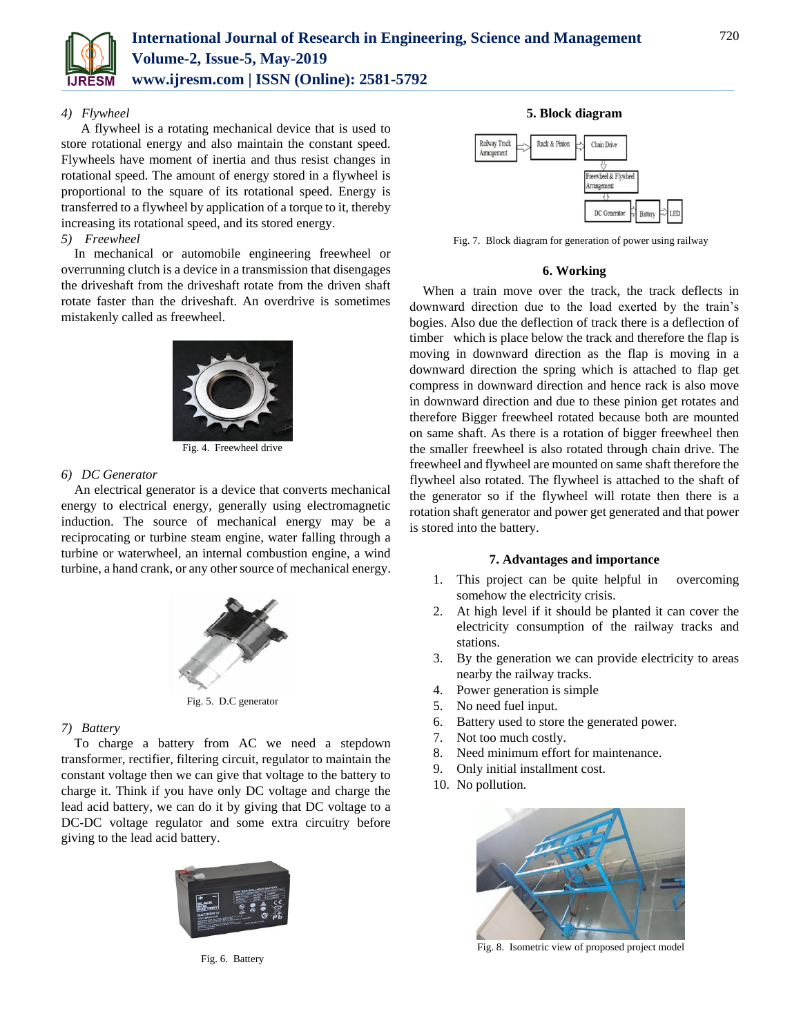

# *4) Flywheel*

 A flywheel is a rotating mechanical device that is used to store rotational energy and also maintain the constant speed. Flywheels have moment of inertia and thus resist changes in rotational speed. The amount of energy stored in a flywheel is proportional to the square of its rotational speed. Energy is transferred to a flywheel by application of a torque to it, thereby increasing its rotational speed, and its stored energy.

## *5) Freewheel*

In mechanical or automobile engineering freewheel or overrunning clutch is a device in a transmission that disengages the driveshaft from the driveshaft rotate from the driven shaft rotate faster than the driveshaft. An overdrive is sometimes mistakenly called as freewheel.



Fig. 4. Freewheel drive

# *6) DC Generator*

An electrical generator is a device that converts mechanical energy to electrical energy, generally using electromagnetic induction. The source of mechanical energy may be a reciprocating or turbine steam engine, water falling through a turbine or waterwheel, an internal combustion engine, a wind turbine, a hand crank, or any other source of mechanical energy.



Fig. 5. D.C generator

## *7) Battery*

To charge a battery from AC we need a stepdown transformer, rectifier, filtering circuit, regulator to maintain the constant voltage then we can give that voltage to the battery to charge it. Think if you have only DC voltage and charge the lead acid battery, we can do it by giving that DC voltage to a DC-DC voltage regulator and some extra circuitry before giving to the lead acid battery.



Fig. 6. Battery

## **5. Block diagram**



Fig. 7. Block diagram for generation of power using railway

## **6. Working**

When a train move over the track, the track deflects in downward direction due to the load exerted by the train's bogies. Also due the deflection of track there is a deflection of timber which is place below the track and therefore the flap is moving in downward direction as the flap is moving in a downward direction the spring which is attached to flap get compress in downward direction and hence rack is also move in downward direction and due to these pinion get rotates and therefore Bigger freewheel rotated because both are mounted on same shaft. As there is a rotation of bigger freewheel then the smaller freewheel is also rotated through chain drive. The freewheel and flywheel are mounted on same shaft therefore the flywheel also rotated. The flywheel is attached to the shaft of the generator so if the flywheel will rotate then there is a rotation shaft generator and power get generated and that power is stored into the battery.

## **7. Advantages and importance**

- 1. This project can be quite helpful in overcoming somehow the electricity crisis.
- 2. At high level if it should be planted it can cover the electricity consumption of the railway tracks and stations.
- 3. By the generation we can provide electricity to areas nearby the railway tracks.
- 4. Power generation is simple
- 5. No need fuel input.
- 6. Battery used to store the generated power.
- 7. Not too much costly.
- 8. Need minimum effort for maintenance.
- 9. Only initial installment cost.
- 10. No pollution.



Fig. 8. Isometric view of proposed project model